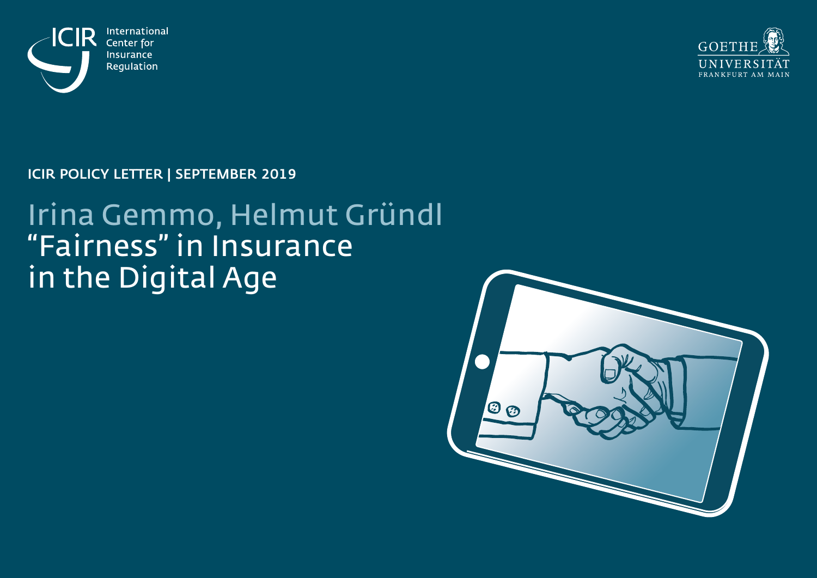



ICIR POLICY LETTER | SEPTEMBER 2019

# Irina Gemmo, Helmut Gründl "Fairness" in Insurance in the Digital Age

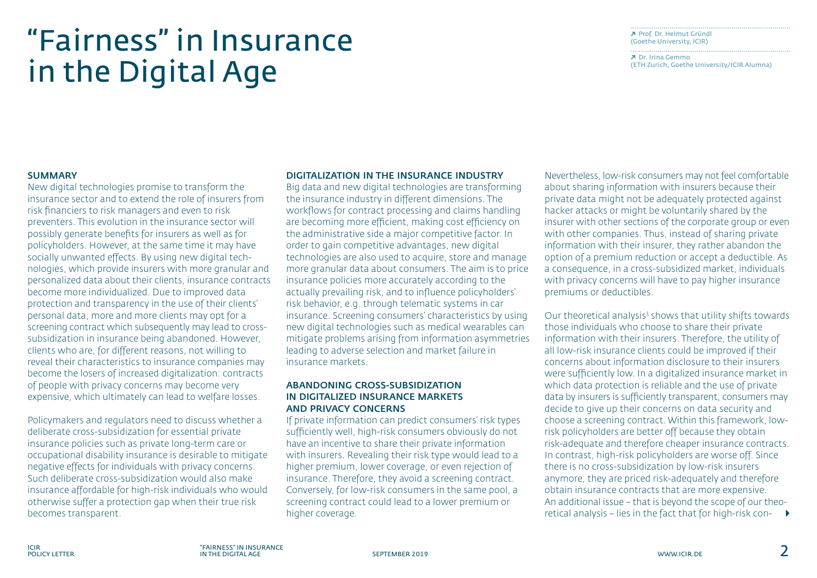# "Fairness" in Insurance in the Digital Age

 Prof. Dr. [Helmut](http://www.icir.de/people/executive-board/prof-dr-helmut-gruendl/) Gründl (Goethe [University,](http://www.icir.de/people/executive-board/prof-dr-helmut-gruendl/) ICIR)

 Dr. Irina [Gemmo](https://irme.ethz.ch/people/profile.MjU5NTk0.TGlzdC82NDEsMTMzMDA4Njk0.html) (ETH Zurich, Goethe [University/ICIR](https://irme.ethz.ch/people/profile.MjU5NTk0.TGlzdC82NDEsMTMzMDA4Njk0.html) Alumna)

### **SUMMARY**

New digital technologies promise to transform the insurance sector and to extend the role of insurers from risk financiers to risk managers and even to risk preventers. This evolution in the insurance sector will possibly generate benefits for insurers as well as for policyholders. However, at the same time it may have socially unwanted effects. By using new digital technologies, which provide insurers with more granular and personalized data about their clients, insurance contracts become more individualized. Due to improved data protection and transparency in the use of their clients' personal data, more and more clients may opt for a screening contract which subsequently may lead to crosssubsidization in insurance being abandoned. However, clients who are, for different reasons, not willing to reveal their characteristics to insurance companies may become the losers of increased digitalization: contracts of people with privacy concerns may become very expensive, which ultimately can lead to welfare losses.

Policymakers and regulators need to discuss whether a deliberate cross-subsidization for essential private insurance policies such as private long-term care or occupational disability insurance is desirable to mitigate negative effects for individuals with privacy concerns. Such deliberate cross-subsidization would also make insurance affordable for high-risk individuals who would otherwise suffer a protection gap when their true risk becomes transparent.

#### DIGITALIZATION IN THE INSURANCE INDUSTRY

Big data and new digital technologies are transforming the insurance industry in different dimensions. The workflows for contract processing and claims handling are becoming more efficient, making cost efficiency on the administrative side a major competitive factor. In order to gain competitive advantages, new digital technologies are also used to acquire, store and manage more granular data about consumers. The aim is to price insurance policies more accurately according to the actually prevailing risk, and to influence policyholders' risk behavior, e.g. through telematic systems in car insurance. Screening consumers' characteristics by using new digital technologies such as medical wearables can mitigate problems arising from information asymmetries leading to adverse selection and market failure in insurance markets.

## ABANDONING CROSS-SUBSIDIZATION IN DIGITALIZED INSURANCE MARKETS AND PRIVACY CONCERNS

If private information can predict consumers' risk types sufficiently well, high-risk consumers obviously do not have an incentive to share their private information with insurers. Revealing their risk type would lead to a higher premium, lower coverage, or even rejection of insurance. Therefore, they avoid a screening contract. Conversely, for low-risk consumers in the same pool, a screening contract could lead to a lower premium or higher coverage.

Nevertheless, low-risk consumers may not feel comfortable about sharing information with insurers because their private data might not be adequately protected against hacker attacks or might be voluntarily shared by the insurer with other sections of the corporate group or even with other companies. Thus, instead of sharing private information with their insurer, they rather abandon the option of a premium reduction or accept a deductible. As a consequence, in a cross-subsidized market, individuals with privacy concerns will have to pay higher insurance premiums or deductibles.

Our theoretical analysis<sup>1</sup> shows that utility shifts towards those individuals who choose to share their private information with their insurers. Therefore, the utility of all low-risk insurance clients could be improved if their concerns about information disclosure to their insurers were sufficiently low. In a digitalized insurance market in which data protection is reliable and the use of private data by insurers is sufficiently transparent, consumers may decide to give up their concerns on data security and choose a screening contract. Within this framework, lowrisk policyholders are better off because they obtain risk-adequate and therefore cheaper insurance contracts. In contrast, high-risk policyholders are worse off. Since there is no cross-subsidization by low-risk insurers anymore, they are priced risk-adequately and therefore obtain insurance contracts that are more expensive. An additional issue – that is beyond the scope of our theoretical analysis – lies in the fact that for high-risk con-